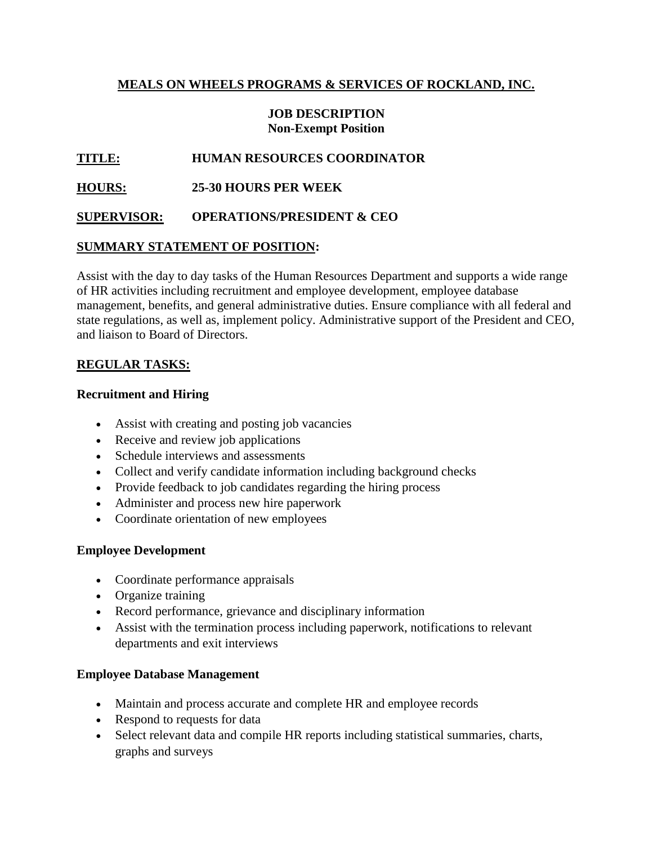### **MEALS ON WHEELS PROGRAMS & SERVICES OF ROCKLAND, INC.**

#### **JOB DESCRIPTION Non-Exempt Position**

# **TITLE: HUMAN RESOURCES COORDINATOR**

# **HOURS: 25-30 HOURS PER WEEK**

### **SUPERVISOR: OPERATIONS/PRESIDENT & CEO**

### **SUMMARY STATEMENT OF POSITION:**

Assist with the day to day tasks of the Human Resources Department and supports a wide range of HR activities including recruitment and employee development, employee database management, benefits, and general administrative duties. Ensure compliance with all federal and state regulations, as well as, implement policy. Administrative support of the President and CEO, and liaison to Board of Directors.

### **REGULAR TASKS:**

### **Recruitment and Hiring**

- Assist with creating and posting job vacancies
- Receive and review job applications
- Schedule interviews and assessments
- Collect and verify candidate information including background checks
- Provide feedback to job candidates regarding the hiring process
- Administer and process new hire paperwork
- Coordinate orientation of new employees

### **Employee Development**

- Coordinate performance appraisals
- Organize training
- Record performance, grievance and disciplinary information
- Assist with the termination process including paperwork, notifications to relevant departments and exit interviews

### **Employee Database Management**

- Maintain and process accurate and complete HR and employee records
- Respond to requests for data
- Select relevant data and compile HR reports including statistical summaries, charts, graphs and surveys